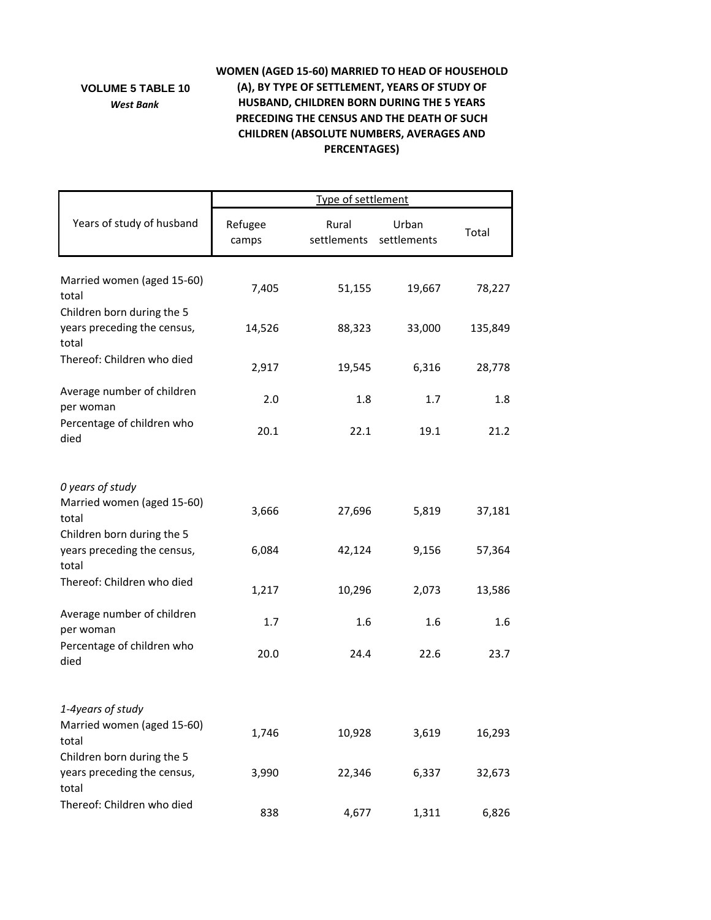## **VOLUME 5 TABLE 10** *West Bank*

## **WOMEN (AGED 15‐60) MARRIED TO HEAD OF HOUSEHOLD (A), BY TYPE OF SETTLEMENT, YEARS OF STUDY OF HUSBAND, CHILDREN BORN DURING THE 5 YEARS PRECEDING THE CENSUS AND THE DEATH OF SUCH CHILDREN (ABSOLUTE NUMBERS, AVERAGES AND PERCENTAGES)**

|                                                                    | Type of settlement |                      |                      |         |  |
|--------------------------------------------------------------------|--------------------|----------------------|----------------------|---------|--|
| Years of study of husband                                          | Refugee<br>camps   | Rural<br>settlements | Urban<br>settlements | Total   |  |
| Married women (aged 15-60)<br>total                                | 7,405              | 51,155               | 19,667               | 78,227  |  |
| Children born during the 5<br>years preceding the census,<br>total | 14,526             | 88,323               | 33,000               | 135,849 |  |
| Thereof: Children who died                                         | 2,917              | 19,545               | 6,316                | 28,778  |  |
| Average number of children<br>per woman                            | 2.0                | 1.8                  | 1.7                  | 1.8     |  |
| Percentage of children who<br>died                                 | 20.1               | 22.1                 | 19.1                 | 21.2    |  |
| 0 years of study                                                   |                    |                      |                      |         |  |
| Married women (aged 15-60)<br>total                                | 3,666              | 27,696               | 5,819                | 37,181  |  |
| Children born during the 5<br>years preceding the census,<br>total | 6,084              | 42,124               | 9,156                | 57,364  |  |
| Thereof: Children who died                                         | 1,217              | 10,296               | 2,073                | 13,586  |  |
| Average number of children<br>per woman                            | 1.7                | 1.6                  | 1.6                  | 1.6     |  |
| Percentage of children who<br>died                                 | 20.0               | 24.4                 | 22.6                 | 23.7    |  |
| 1-4years of study                                                  |                    |                      |                      |         |  |
| Married women (aged 15-60)<br>total                                | 1,746              | 10,928               | 3,619                | 16,293  |  |
| Children born during the 5<br>years preceding the census,<br>total | 3,990              | 22,346               | 6,337                | 32,673  |  |
| Thereof: Children who died                                         | 838                | 4,677                | 1,311                | 6,826   |  |